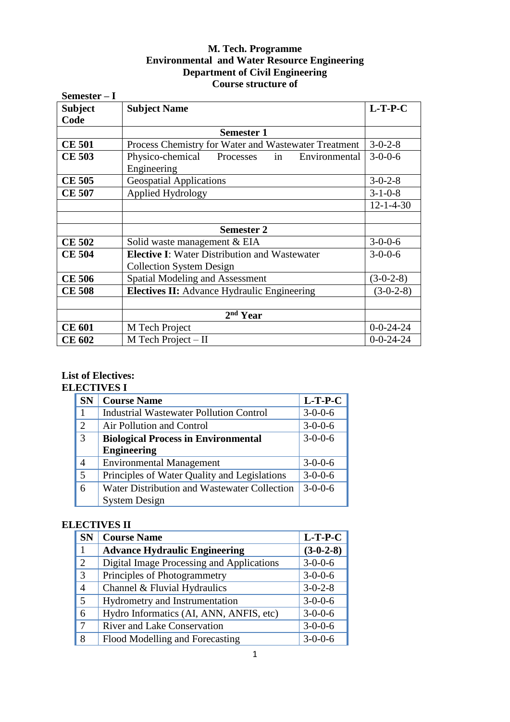# **M. Tech. Programme Environmental and Water Resource Engineering Department of Civil Engineering Course structure of**

| Semester $-I$  |                                                      |                   |
|----------------|------------------------------------------------------|-------------------|
| <b>Subject</b> | <b>Subject Name</b>                                  | $L-T-P-C$         |
| Code           |                                                      |                   |
|                | <b>Semester 1</b>                                    |                   |
| <b>CE 501</b>  | Process Chemistry for Water and Wastewater Treatment | $3 - 0 - 2 - 8$   |
| <b>CE 503</b>  | Processes in Environmental<br>Physico-chemical       | $3 - 0 - 0 - 6$   |
|                | Engineering                                          |                   |
| <b>CE 505</b>  | <b>Geospatial Applications</b>                       | $3 - 0 - 2 - 8$   |
| <b>CE 507</b>  | Applied Hydrology                                    | $3 - 1 - 0 - 8$   |
|                |                                                      | $12 - 1 - 4 - 30$ |
|                |                                                      |                   |
|                | <b>Semester 2</b>                                    |                   |
| <b>CE 502</b>  | Solid waste management & EIA                         | $3-0-0-6$         |
| <b>CE 504</b>  | <b>Elective I:</b> Water Distribution and Wastewater | $3 - 0 - 0 - 6$   |
|                | <b>Collection System Design</b>                      |                   |
| <b>CE 506</b>  | <b>Spatial Modeling and Assessment</b>               | $(3-0-2-8)$       |
| <b>CE 508</b>  | <b>Electives II:</b> Advance Hydraulic Engineering   | $(3-0-2-8)$       |
|                |                                                      |                   |
|                | 2 <sup>nd</sup> Year                                 |                   |
| <b>CE 601</b>  | M Tech Project                                       | $0 - 0 - 24 - 24$ |
| <b>CE 602</b>  | $M$ Tech Project – II                                | $0 - 0 - 24 - 24$ |

### **List of Electives: ELECTIVES I**

| <b>SN</b>      | <b>Course Name</b>                             | $L-T-P-C$       |
|----------------|------------------------------------------------|-----------------|
| $\mathbf{1}$   | <b>Industrial Wastewater Pollution Control</b> | $3-0-0-6$       |
| $\overline{2}$ | Air Pollution and Control                      | $3 - 0 - 0 - 6$ |
| 3              | <b>Biological Process in Environmental</b>     | $3 - 0 - 0 - 6$ |
|                | <b>Engineering</b>                             |                 |
| $\overline{4}$ | <b>Environmental Management</b>                | $3 - 0 - 0 - 6$ |
| 5              | Principles of Water Quality and Legislations   | $3 - 0 - 0 - 6$ |
| 6              | Water Distribution and Wastewater Collection   | $3 - 0 - 0 - 6$ |
|                | <b>System Design</b>                           |                 |

# **ELECTIVES II**

| <b>SN</b>      | <b>Course Name</b>                        | $L-T-P-C$       |
|----------------|-------------------------------------------|-----------------|
| $\mathbf{1}$   | <b>Advance Hydraulic Engineering</b>      | $(3-0-2-8)$     |
| 2              | Digital Image Processing and Applications | $3 - 0 - 0 - 6$ |
| 3              | Principles of Photogrammetry              | $3-0-0-6$       |
| $\overline{4}$ | Channel & Fluvial Hydraulics              | $3 - 0 - 2 - 8$ |
| 5              | Hydrometry and Instrumentation            | $3-0-0-6$       |
| 6              | Hydro Informatics (AI, ANN, ANFIS, etc)   | $3-0-0-6$       |
| -7             | <b>River and Lake Conservation</b>        | $3-0-0-6$       |
| 8              | Flood Modelling and Forecasting           | $3 - 0 - 0 - 6$ |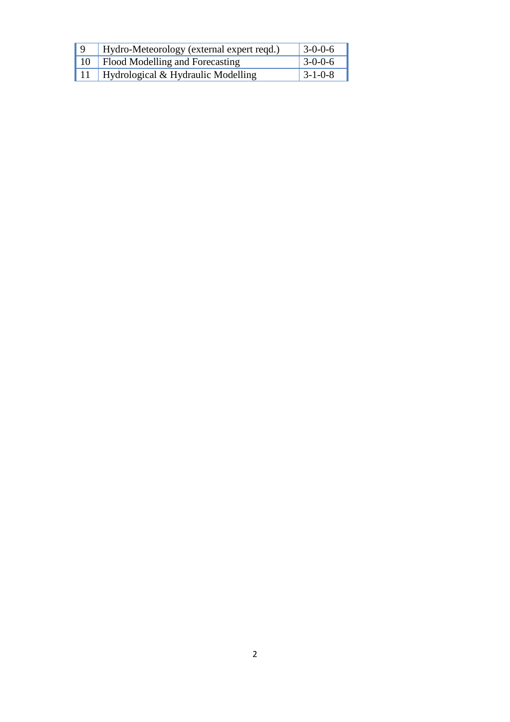| $\Omega$ | Hydro-Meteorology (external expert reqd.)      | $3-0-0-6$       |
|----------|------------------------------------------------|-----------------|
| 10       | Flood Modelling and Forecasting                | $3 - 0 - 0 - 6$ |
|          | $\mid$ 11   Hydrological & Hydraulic Modelling | $3 - 1 - 0 - 8$ |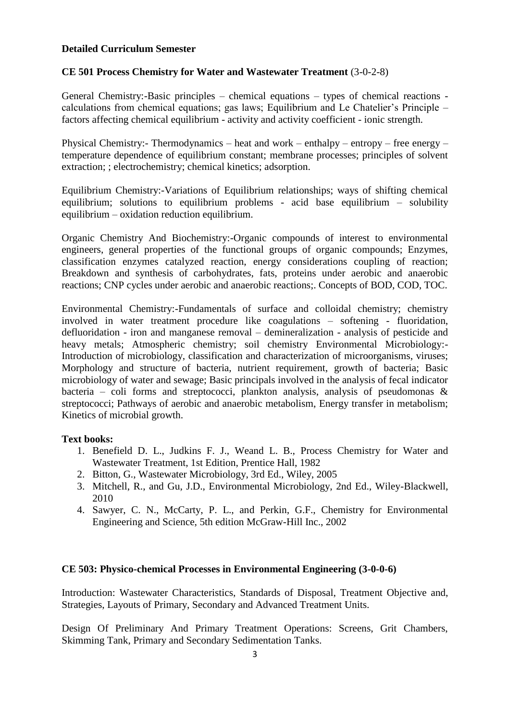#### **Detailed Curriculum Semester**

# **CE 501 Process Chemistry for Water and Wastewater Treatment** (3-0-2-8)

General Chemistry:-Basic principles – chemical equations – types of chemical reactions calculations from chemical equations; gas laws; Equilibrium and Le Chatelier's Principle – factors affecting chemical equilibrium - activity and activity coefficient - ionic strength.

Physical Chemistry:- Thermodynamics – heat and work – enthalpy – entropy – free energy – temperature dependence of equilibrium constant; membrane processes; principles of solvent extraction; ; electrochemistry; chemical kinetics; adsorption.

Equilibrium Chemistry:-Variations of Equilibrium relationships; ways of shifting chemical equilibrium; solutions to equilibrium problems - acid base equilibrium – solubility equilibrium – oxidation reduction equilibrium.

Organic Chemistry And Biochemistry:-Organic compounds of interest to environmental engineers, general properties of the functional groups of organic compounds; Enzymes, classification enzymes catalyzed reaction, energy considerations coupling of reaction; Breakdown and synthesis of carbohydrates, fats, proteins under aerobic and anaerobic reactions; CNP cycles under aerobic and anaerobic reactions;. Concepts of BOD, COD, TOC.

Environmental Chemistry:-Fundamentals of surface and colloidal chemistry; chemistry involved in water treatment procedure like coagulations – softening - fluoridation, defluoridation - iron and manganese removal – demineralization - analysis of pesticide and heavy metals; Atmospheric chemistry; soil chemistry Environmental Microbiology:- Introduction of microbiology, classification and characterization of microorganisms, viruses; Morphology and structure of bacteria, nutrient requirement, growth of bacteria; Basic microbiology of water and sewage; Basic principals involved in the analysis of fecal indicator bacteria – coli forms and streptococci, plankton analysis, analysis of pseudomonas  $\&$ streptococci; Pathways of aerobic and anaerobic metabolism, Energy transfer in metabolism; Kinetics of microbial growth.

#### **Text books:**

- 1. Benefield D. L., Judkins F. J., Weand L. B., Process Chemistry for Water and Wastewater Treatment, 1st Edition, Prentice Hall, 1982
- 2. Bitton, G., Wastewater Microbiology, 3rd Ed., Wiley, 2005
- 3. Mitchell, R., and Gu, J.D., Environmental Microbiology, 2nd Ed., Wiley-Blackwell, 2010
- 4. Sawyer, C. N., McCarty, P. L., and Perkin, G.F., Chemistry for Environmental Engineering and Science, 5th edition McGraw-Hill Inc., 2002

### **CE 503: Physico-chemical Processes in Environmental Engineering (3-0-0-6)**

Introduction: Wastewater Characteristics, Standards of Disposal, Treatment Objective and, Strategies, Layouts of Primary, Secondary and Advanced Treatment Units.

Design Of Preliminary And Primary Treatment Operations: Screens, Grit Chambers, Skimming Tank, Primary and Secondary Sedimentation Tanks.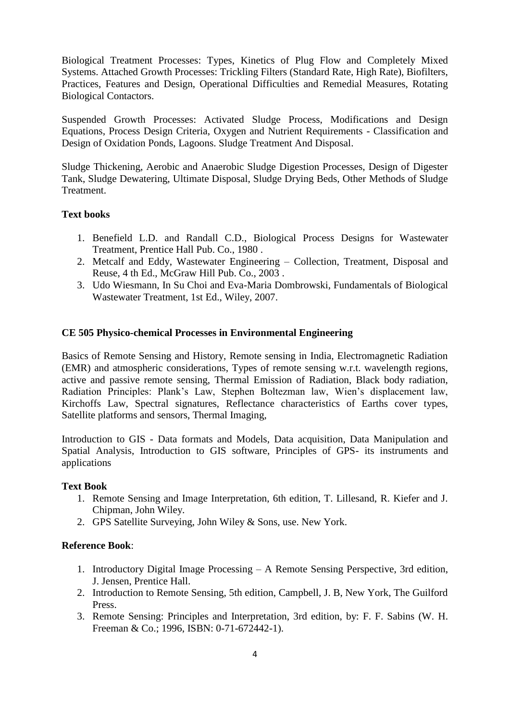Biological Treatment Processes: Types, Kinetics of Plug Flow and Completely Mixed Systems. Attached Growth Processes: Trickling Filters (Standard Rate, High Rate), Biofilters, Practices, Features and Design, Operational Difficulties and Remedial Measures, Rotating Biological Contactors.

Suspended Growth Processes: Activated Sludge Process, Modifications and Design Equations, Process Design Criteria, Oxygen and Nutrient Requirements - Classification and Design of Oxidation Ponds, Lagoons. Sludge Treatment And Disposal.

Sludge Thickening, Aerobic and Anaerobic Sludge Digestion Processes, Design of Digester Tank, Sludge Dewatering, Ultimate Disposal, Sludge Drying Beds, Other Methods of Sludge Treatment.

# **Text books**

- 1. Benefield L.D. and Randall C.D., Biological Process Designs for Wastewater Treatment, Prentice Hall Pub. Co., 1980 .
- 2. Metcalf and Eddy, Wastewater Engineering Collection, Treatment, Disposal and Reuse, 4 th Ed., McGraw Hill Pub. Co., 2003 .
- 3. Udo Wiesmann, In Su Choi and Eva-Maria Dombrowski, Fundamentals of Biological Wastewater Treatment, 1st Ed., Wiley, 2007.

# **CE 505 Physico-chemical Processes in Environmental Engineering**

Basics of Remote Sensing and History, Remote sensing in India, Electromagnetic Radiation (EMR) and atmospheric considerations, Types of remote sensing w.r.t. wavelength regions, active and passive remote sensing, Thermal Emission of Radiation, Black body radiation, Radiation Principles: Plank's Law, Stephen Boltezman law, Wien's displacement law, Kirchoffs Law, Spectral signatures, Reflectance characteristics of Earths cover types, Satellite platforms and sensors, Thermal Imaging,

Introduction to GIS - Data formats and Models, Data acquisition, Data Manipulation and Spatial Analysis, Introduction to GIS software, Principles of GPS- its instruments and applications

#### **Text Book**

- 1. Remote Sensing and Image Interpretation, 6th edition, T. Lillesand, R. Kiefer and J. Chipman, John Wiley.
- 2. GPS Satellite Surveying, John Wiley & Sons, use. New York.

# **Reference Book**:

- 1. Introductory Digital Image Processing A Remote Sensing Perspective, 3rd edition, J. Jensen, Prentice Hall.
- 2. Introduction to Remote Sensing, 5th edition, Campbell, J. B, New York, The Guilford Press.
- 3. Remote Sensing: Principles and Interpretation, 3rd edition, by: F. F. Sabins (W. H. Freeman & Co.; 1996, ISBN: 0-71-672442-1).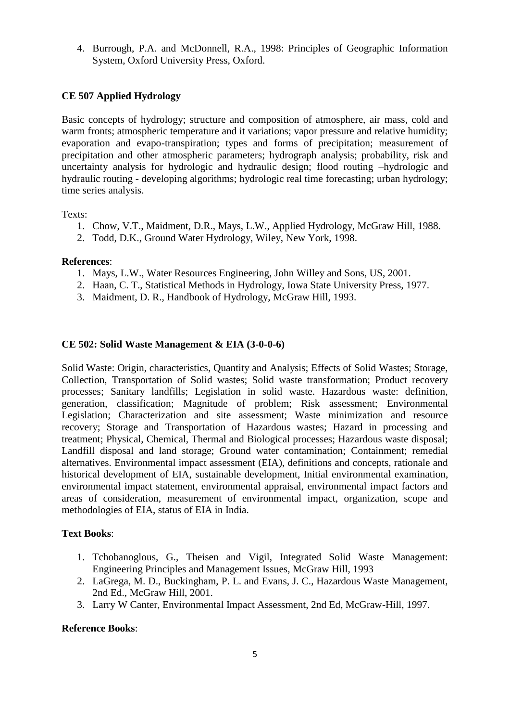4. Burrough, P.A. and McDonnell, R.A., 1998: Principles of Geographic Information System, Oxford University Press, Oxford.

# **CE 507 Applied Hydrology**

Basic concepts of hydrology; structure and composition of atmosphere, air mass, cold and warm fronts; atmospheric temperature and it variations; vapor pressure and relative humidity; evaporation and evapo-transpiration; types and forms of precipitation; measurement of precipitation and other atmospheric parameters; hydrograph analysis; probability, risk and uncertainty analysis for hydrologic and hydraulic design; flood routing –hydrologic and hydraulic routing - developing algorithms; hydrologic real time forecasting; urban hydrology; time series analysis.

### Texts:

- 1. Chow, V.T., Maidment, D.R., Mays, L.W., Applied Hydrology, McGraw Hill, 1988.
- 2. Todd, D.K., Ground Water Hydrology, Wiley, New York, 1998.

### **References**:

- 1. Mays, L.W., Water Resources Engineering, John Willey and Sons, US, 2001.
- 2. Haan, C. T., Statistical Methods in Hydrology, Iowa State University Press, 1977.
- 3. Maidment, D. R., Handbook of Hydrology, McGraw Hill, 1993.

# **CE 502: Solid Waste Management & EIA (3-0-0-6)**

Solid Waste: Origin, characteristics, Quantity and Analysis; Effects of Solid Wastes; Storage, Collection, Transportation of Solid wastes; Solid waste transformation; Product recovery processes; Sanitary landfills; Legislation in solid waste. Hazardous waste: definition, generation, classification; Magnitude of problem; Risk assessment; Environmental Legislation; Characterization and site assessment; Waste minimization and resource recovery; Storage and Transportation of Hazardous wastes; Hazard in processing and treatment; Physical, Chemical, Thermal and Biological processes; Hazardous waste disposal; Landfill disposal and land storage; Ground water contamination; Containment; remedial alternatives. Environmental impact assessment (EIA), definitions and concepts, rationale and historical development of EIA, sustainable development, Initial environmental examination, environmental impact statement, environmental appraisal, environmental impact factors and areas of consideration, measurement of environmental impact, organization, scope and methodologies of EIA, status of EIA in India.

# **Text Books**:

- 1. Tchobanoglous, G., Theisen and Vigil, Integrated Solid Waste Management: Engineering Principles and Management Issues, McGraw Hill, 1993
- 2. LaGrega, M. D., Buckingham, P. L. and Evans, J. C., Hazardous Waste Management, 2nd Ed., McGraw Hill, 2001.
- 3. Larry W Canter, Environmental Impact Assessment, 2nd Ed, McGraw-Hill, 1997.

# **Reference Books**: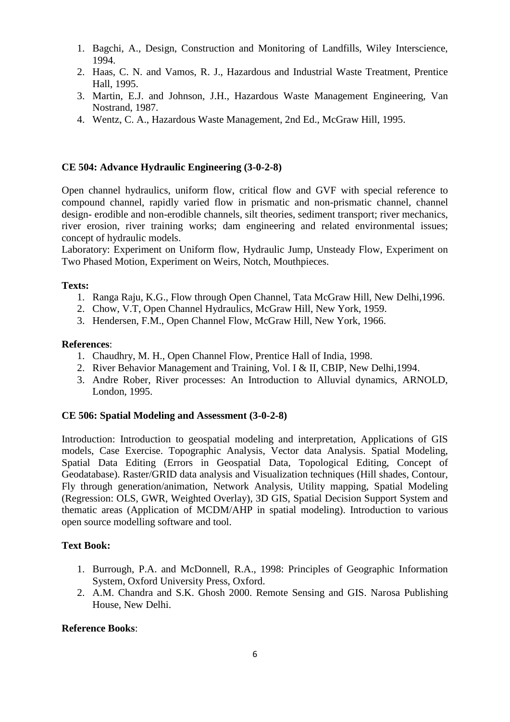- 1. Bagchi, A., Design, Construction and Monitoring of Landfills, Wiley Interscience, 1994.
- 2. Haas, C. N. and Vamos, R. J., Hazardous and Industrial Waste Treatment, Prentice Hall, 1995.
- 3. Martin, E.J. and Johnson, J.H., Hazardous Waste Management Engineering, Van Nostrand, 1987.
- 4. Wentz, C. A., Hazardous Waste Management, 2nd Ed., McGraw Hill, 1995.

### **CE 504: Advance Hydraulic Engineering (3-0-2-8)**

Open channel hydraulics, uniform flow, critical flow and GVF with special reference to compound channel, rapidly varied flow in prismatic and non-prismatic channel, channel design- erodible and non-erodible channels, silt theories, sediment transport; river mechanics, river erosion, river training works; dam engineering and related environmental issues; concept of hydraulic models.

Laboratory: Experiment on Uniform flow, Hydraulic Jump, Unsteady Flow, Experiment on Two Phased Motion, Experiment on Weirs, Notch, Mouthpieces.

### **Texts:**

- 1. Ranga Raju, K.G., Flow through Open Channel, Tata McGraw Hill, New Delhi,1996.
- 2. Chow, V.T, Open Channel Hydraulics, McGraw Hill, New York, 1959.
- 3. Hendersen, F.M., Open Channel Flow, McGraw Hill, New York, 1966.

#### **References**:

- 1. Chaudhry, M. H., Open Channel Flow, Prentice Hall of India, 1998.
- 2. River Behavior Management and Training, Vol. I & II, CBIP, New Delhi,1994.
- 3. Andre Rober, River processes: An Introduction to Alluvial dynamics, ARNOLD, London, 1995.

#### **CE 506: Spatial Modeling and Assessment (3-0-2-8)**

Introduction: Introduction to geospatial modeling and interpretation, Applications of GIS models, Case Exercise. Topographic Analysis, Vector data Analysis. Spatial Modeling, Spatial Data Editing (Errors in Geospatial Data, Topological Editing, Concept of Geodatabase). Raster/GRID data analysis and Visualization techniques (Hill shades, Contour, Fly through generation/animation, Network Analysis, Utility mapping, Spatial Modeling (Regression: OLS, GWR, Weighted Overlay), 3D GIS, Spatial Decision Support System and thematic areas (Application of MCDM/AHP in spatial modeling). Introduction to various open source modelling software and tool.

### **Text Book:**

- 1. Burrough, P.A. and McDonnell, R.A., 1998: Principles of Geographic Information System, Oxford University Press, Oxford.
- 2. A.M. Chandra and S.K. Ghosh 2000. Remote Sensing and GIS. Narosa Publishing House, New Delhi.

#### **Reference Books**: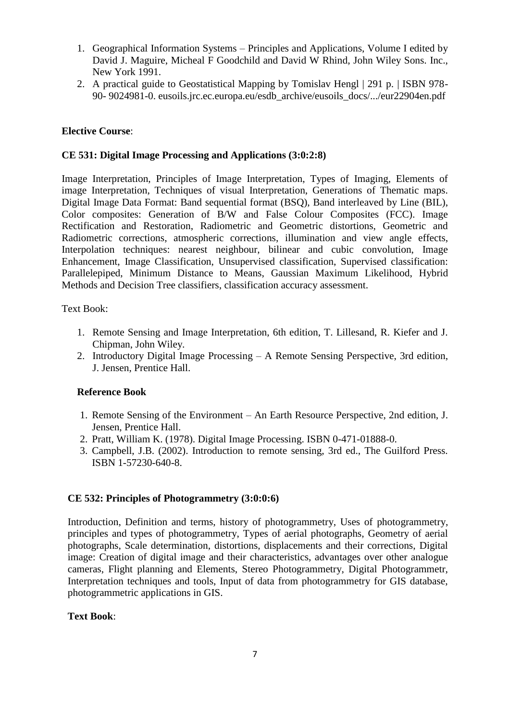- 1. Geographical Information Systems Principles and Applications, Volume I edited by David J. Maguire, Micheal F Goodchild and David W Rhind, John Wiley Sons. Inc., New York 1991.
- 2. A practical guide to Geostatistical Mapping by Tomislav Hengl | 291 p. | ISBN 978- 90- 9024981-0. eusoils.jrc.ec.europa.eu/esdb\_archive/eusoils\_docs/.../eur22904en.pdf

# **Elective Course**:

# **CE 531: Digital Image Processing and Applications (3:0:2:8)**

Image Interpretation, Principles of Image Interpretation, Types of Imaging, Elements of image Interpretation, Techniques of visual Interpretation, Generations of Thematic maps. Digital Image Data Format: Band sequential format (BSQ), Band interleaved by Line (BIL), Color composites: Generation of B/W and False Colour Composites (FCC). Image Rectification and Restoration, Radiometric and Geometric distortions, Geometric and Radiometric corrections, atmospheric corrections, illumination and view angle effects, Interpolation techniques: nearest neighbour, bilinear and cubic convolution, Image Enhancement, Image Classification, Unsupervised classification, Supervised classification: Parallelepiped, Minimum Distance to Means, Gaussian Maximum Likelihood, Hybrid Methods and Decision Tree classifiers, classification accuracy assessment.

Text Book:

- 1. Remote Sensing and Image Interpretation, 6th edition, T. Lillesand, R. Kiefer and J. Chipman, John Wiley.
- 2. Introductory Digital Image Processing A Remote Sensing Perspective, 3rd edition, J. Jensen, Prentice Hall.

# **Reference Book**

- 1. Remote Sensing of the Environment An Earth Resource Perspective, 2nd edition, J. Jensen, Prentice Hall.
- 2. Pratt, William K. (1978). Digital Image Processing. ISBN 0-471-01888-0.
- 3. Campbell, J.B. (2002). Introduction to remote sensing, 3rd ed., The Guilford Press. ISBN 1-57230-640-8.

# **CE 532: Principles of Photogrammetry (3:0:0:6)**

Introduction, Definition and terms, history of photogrammetry, Uses of photogrammetry, principles and types of photogrammetry, Types of aerial photographs, Geometry of aerial photographs, Scale determination, distortions, displacements and their corrections, Digital image: Creation of digital image and their characteristics, advantages over other analogue cameras, Flight planning and Elements, Stereo Photogrammetry, Digital Photogrammetr, Interpretation techniques and tools, Input of data from photogrammetry for GIS database, photogrammetric applications in GIS.

#### **Text Book**: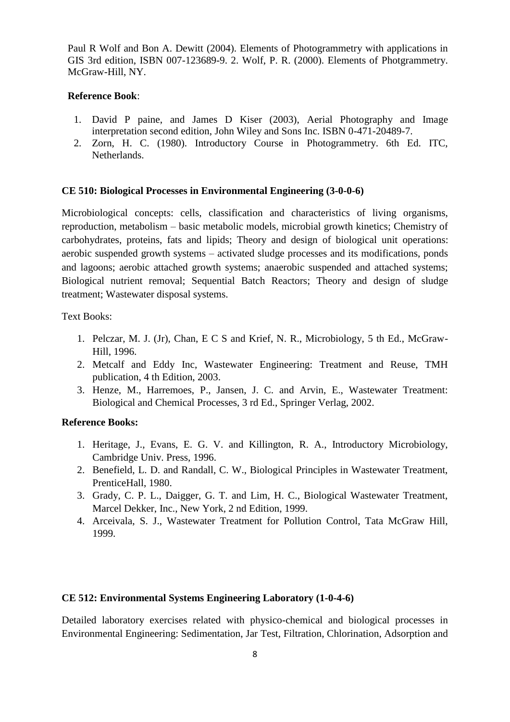Paul R Wolf and Bon A. Dewitt (2004). Elements of Photogrammetry with applications in GIS 3rd edition, ISBN 007-123689-9. 2. Wolf, P. R. (2000). Elements of Photgrammetry. McGraw-Hill, NY.

### **Reference Book**:

- 1. David P paine, and James D Kiser (2003), Aerial Photography and Image interpretation second edition, John Wiley and Sons Inc. ISBN 0-471-20489-7.
- 2. Zorn, H. C. (1980). Introductory Course in Photogrammetry. 6th Ed. ITC, Netherlands.

### **CE 510: Biological Processes in Environmental Engineering (3-0-0-6)**

Microbiological concepts: cells, classification and characteristics of living organisms, reproduction, metabolism – basic metabolic models, microbial growth kinetics; Chemistry of carbohydrates, proteins, fats and lipids; Theory and design of biological unit operations: aerobic suspended growth systems – activated sludge processes and its modifications, ponds and lagoons; aerobic attached growth systems; anaerobic suspended and attached systems; Biological nutrient removal; Sequential Batch Reactors; Theory and design of sludge treatment; Wastewater disposal systems.

Text Books:

- 1. Pelczar, M. J. (Jr), Chan, E C S and Krief, N. R., Microbiology, 5 th Ed., McGraw-Hill, 1996.
- 2. Metcalf and Eddy Inc, Wastewater Engineering: Treatment and Reuse, TMH publication, 4 th Edition, 2003.
- 3. Henze, M., Harremoes, P., Jansen, J. C. and Arvin, E., Wastewater Treatment: Biological and Chemical Processes, 3 rd Ed., Springer Verlag, 2002.

#### **Reference Books:**

- 1. Heritage, J., Evans, E. G. V. and Killington, R. A., Introductory Microbiology, Cambridge Univ. Press, 1996.
- 2. Benefield, L. D. and Randall, C. W., Biological Principles in Wastewater Treatment, PrenticeHall, 1980.
- 3. Grady, C. P. L., Daigger, G. T. and Lim, H. C., Biological Wastewater Treatment, Marcel Dekker, Inc., New York, 2 nd Edition, 1999.
- 4. Arceivala, S. J., Wastewater Treatment for Pollution Control, Tata McGraw Hill, 1999.

# **CE 512: Environmental Systems Engineering Laboratory (1-0-4-6)**

Detailed laboratory exercises related with physico-chemical and biological processes in Environmental Engineering: Sedimentation, Jar Test, Filtration, Chlorination, Adsorption and